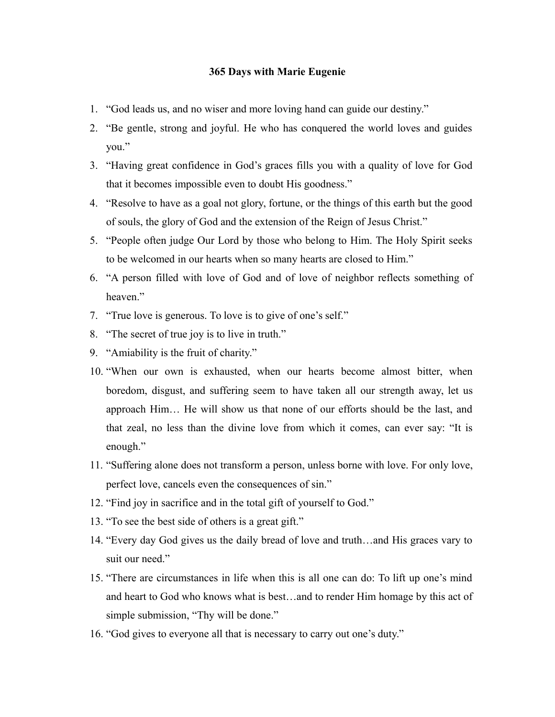## **365 Days with Marie Eugenie**

- 1. "God leads us, and no wiser and more loving hand can guide our destiny."
- 2. "Be gentle, strong and joyful. He who has conquered the world loves and guides you."
- 3. "Having great confidence in God's graces fills you with a quality of love for God that it becomes impossible even to doubt His goodness."
- 4. "Resolve to have as a goal not glory, fortune, or the things of this earth but the good of souls, the glory of God and the extension of the Reign of Jesus Christ."
- 5. "People often judge Our Lord by those who belong to Him. The Holy Spirit seeks to be welcomed in our hearts when so many hearts are closed to Him."
- 6. "A person filled with love of God and of love of neighbor reflects something of heaven"
- 7. "True love is generous. To love is to give of one's self."
- 8. "The secret of true joy is to live in truth."
- 9. "Amiability is the fruit of charity."
- 10. "When our own is exhausted, when our hearts become almost bitter, when boredom, disgust, and suffering seem to have taken all our strength away, let us approach Him… He will show us that none of our efforts should be the last, and that zeal, no less than the divine love from which it comes, can ever say: "It is enough."
- 11. "Suffering alone does not transform a person, unless borne with love. For only love, perfect love, cancels even the consequences of sin."
- 12. "Find joy in sacrifice and in the total gift of yourself to God."
- 13. "To see the best side of others is a great gift."
- 14. "Every day God gives us the daily bread of love and truth…and His graces vary to suit our need."
- 15. "There are circumstances in life when this is all one can do: To lift up one's mind and heart to God who knows what is best…and to render Him homage by this act of simple submission, "Thy will be done."
- 16. "God gives to everyone all that is necessary to carry out one's duty."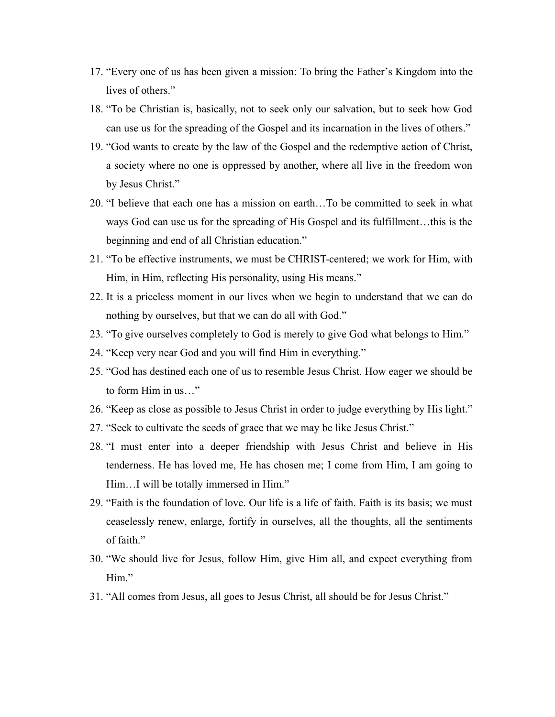- 17. "Every one of us has been given a mission: To bring the Father's Kingdom into the lives of others."
- 18. "To be Christian is, basically, not to seek only our salvation, but to seek how God can use us for the spreading of the Gospel and its incarnation in the lives of others."
- 19. "God wants to create by the law of the Gospel and the redemptive action of Christ, a society where no one is oppressed by another, where all live in the freedom won by Jesus Christ."
- 20. "I believe that each one has a mission on earth…To be committed to seek in what ways God can use us for the spreading of His Gospel and its fulfillment…this is the beginning and end of all Christian education."
- 21. "To be effective instruments, we must be CHRIST-centered; we work for Him, with Him, in Him, reflecting His personality, using His means."
- 22. It is a priceless moment in our lives when we begin to understand that we can do nothing by ourselves, but that we can do all with God."
- 23. "To give ourselves completely to God is merely to give God what belongs to Him."
- 24. "Keep very near God and you will find Him in everything."
- 25. "God has destined each one of us to resemble Jesus Christ. How eager we should be to form Him in us…"
- 26. "Keep as close as possible to Jesus Christ in order to judge everything by His light."
- 27. "Seek to cultivate the seeds of grace that we may be like Jesus Christ."
- 28. "I must enter into a deeper friendship with Jesus Christ and believe in His tenderness. He has loved me, He has chosen me; I come from Him, I am going to Him…I will be totally immersed in Him."
- 29. "Faith is the foundation of love. Our life is a life of faith. Faith is its basis; we must ceaselessly renew, enlarge, fortify in ourselves, all the thoughts, all the sentiments of faith."
- 30. "We should live for Jesus, follow Him, give Him all, and expect everything from Him."
- 31. "All comes from Jesus, all goes to Jesus Christ, all should be for Jesus Christ."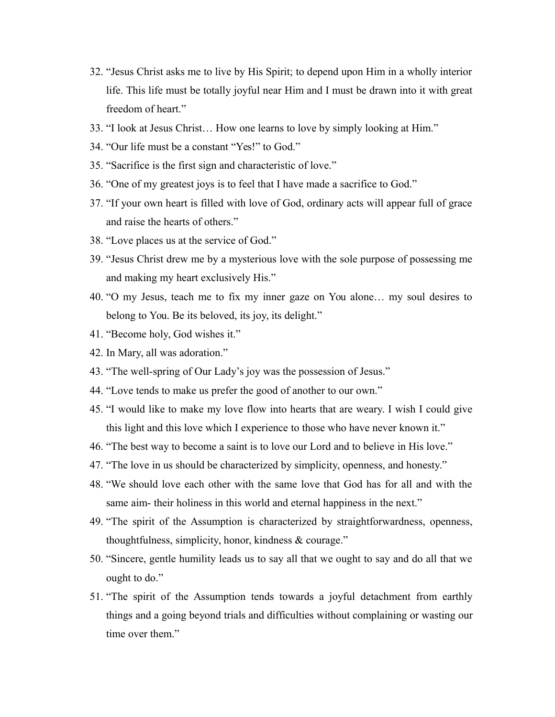- 32. "Jesus Christ asks me to live by His Spirit; to depend upon Him in a wholly interior life. This life must be totally joyful near Him and I must be drawn into it with great freedom of heart."
- 33. "I look at Jesus Christ… How one learns to love by simply looking at Him."
- 34. "Our life must be a constant "Yes!" to God."
- 35. "Sacrifice is the first sign and characteristic of love."
- 36. "One of my greatest joys is to feel that I have made a sacrifice to God."
- 37. "If your own heart is filled with love of God, ordinary acts will appear full of grace and raise the hearts of others."
- 38. "Love places us at the service of God."
- 39. "Jesus Christ drew me by a mysterious love with the sole purpose of possessing me and making my heart exclusively His."
- 40. "O my Jesus, teach me to fix my inner gaze on You alone… my soul desires to belong to You. Be its beloved, its joy, its delight."
- 41. "Become holy, God wishes it."
- 42. In Mary, all was adoration."
- 43. "The well-spring of Our Lady's joy was the possession of Jesus."
- 44. "Love tends to make us prefer the good of another to our own."
- 45. "I would like to make my love flow into hearts that are weary. I wish I could give this light and this love which I experience to those who have never known it."
- 46. "The best way to become a saint is to love our Lord and to believe in His love."
- 47. "The love in us should be characterized by simplicity, openness, and honesty."
- 48. "We should love each other with the same love that God has for all and with the same aim- their holiness in this world and eternal happiness in the next."
- 49. "The spirit of the Assumption is characterized by straightforwardness, openness, thoughtfulness, simplicity, honor, kindness & courage."
- 50. "Sincere, gentle humility leads us to say all that we ought to say and do all that we ought to do."
- 51. "The spirit of the Assumption tends towards a joyful detachment from earthly things and a going beyond trials and difficulties without complaining or wasting our time over them."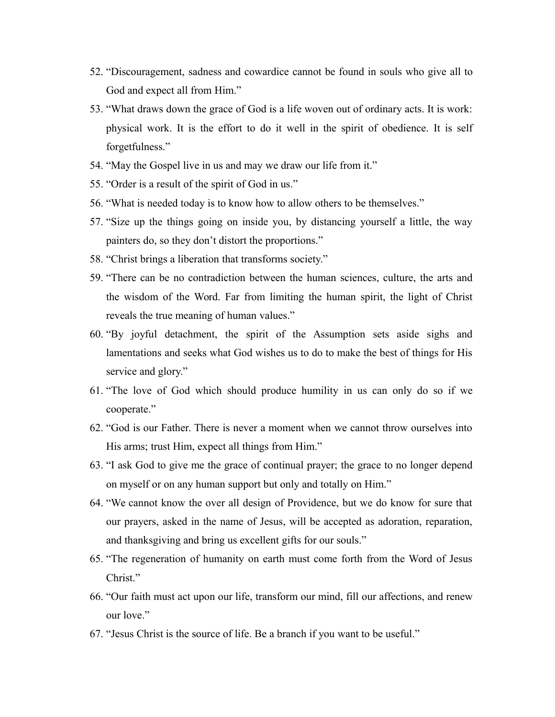- 52. "Discouragement, sadness and cowardice cannot be found in souls who give all to God and expect all from Him."
- 53. "What draws down the grace of God is a life woven out of ordinary acts. It is work: physical work. It is the effort to do it well in the spirit of obedience. It is self forgetfulness."
- 54. "May the Gospel live in us and may we draw our life from it."
- 55. "Order is a result of the spirit of God in us."
- 56. "What is needed today is to know how to allow others to be themselves."
- 57. "Size up the things going on inside you, by distancing yourself a little, the way painters do, so they don't distort the proportions."
- 58. "Christ brings a liberation that transforms society."
- 59. "There can be no contradiction between the human sciences, culture, the arts and the wisdom of the Word. Far from limiting the human spirit, the light of Christ reveals the true meaning of human values."
- 60. "By joyful detachment, the spirit of the Assumption sets aside sighs and lamentations and seeks what God wishes us to do to make the best of things for His service and glory."
- 61. "The love of God which should produce humility in us can only do so if we cooperate."
- 62. "God is our Father. There is never a moment when we cannot throw ourselves into His arms; trust Him, expect all things from Him."
- 63. "I ask God to give me the grace of continual prayer; the grace to no longer depend on myself or on any human support but only and totally on Him."
- 64. "We cannot know the over all design of Providence, but we do know for sure that our prayers, asked in the name of Jesus, will be accepted as adoration, reparation, and thanksgiving and bring us excellent gifts for our souls."
- 65. "The regeneration of humanity on earth must come forth from the Word of Jesus Christ."
- 66. "Our faith must act upon our life, transform our mind, fill our affections, and renew our love"
- 67. "Jesus Christ is the source of life. Be a branch if you want to be useful."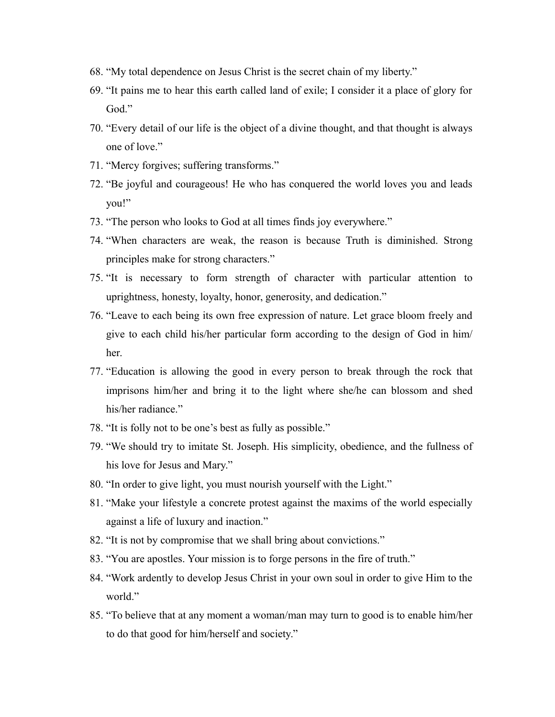- 68. "My total dependence on Jesus Christ is the secret chain of my liberty."
- 69. "It pains me to hear this earth called land of exile; I consider it a place of glory for God."
- 70. "Every detail of our life is the object of a divine thought, and that thought is always one of love."
- 71. "Mercy forgives; suffering transforms."
- 72. "Be joyful and courageous! He who has conquered the world loves you and leads you!"
- 73. "The person who looks to God at all times finds joy everywhere."
- 74. "When characters are weak, the reason is because Truth is diminished. Strong principles make for strong characters."
- 75. "It is necessary to form strength of character with particular attention to uprightness, honesty, loyalty, honor, generosity, and dedication."
- 76. "Leave to each being its own free expression of nature. Let grace bloom freely and give to each child his/her particular form according to the design of God in him/ her.
- 77. "Education is allowing the good in every person to break through the rock that imprisons him/her and bring it to the light where she/he can blossom and shed his/her radiance."
- 78. "It is folly not to be one's best as fully as possible."
- 79. "We should try to imitate St. Joseph. His simplicity, obedience, and the fullness of his love for Jesus and Mary."
- 80. "In order to give light, you must nourish yourself with the Light."
- 81. "Make your lifestyle a concrete protest against the maxims of the world especially against a life of luxury and inaction."
- 82. "It is not by compromise that we shall bring about convictions."
- 83. "You are apostles. Your mission is to forge persons in the fire of truth."
- 84. "Work ardently to develop Jesus Christ in your own soul in order to give Him to the world."
- 85. "To believe that at any moment a woman/man may turn to good is to enable him/her to do that good for him/herself and society."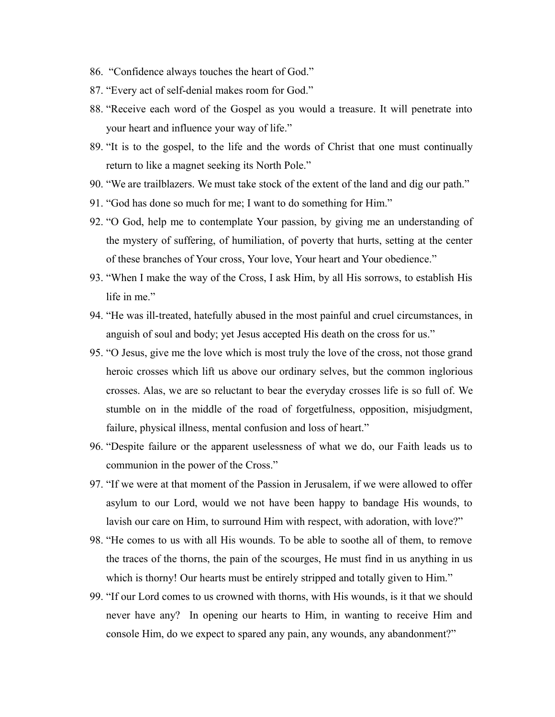- 86. "Confidence always touches the heart of God."
- 87. "Every act of self-denial makes room for God."
- 88. "Receive each word of the Gospel as you would a treasure. It will penetrate into your heart and influence your way of life."
- 89. "It is to the gospel, to the life and the words of Christ that one must continually return to like a magnet seeking its North Pole."
- 90. "We are trailblazers. We must take stock of the extent of the land and dig our path."
- 91. "God has done so much for me; I want to do something for Him."
- 92. "O God, help me to contemplate Your passion, by giving me an understanding of the mystery of suffering, of humiliation, of poverty that hurts, setting at the center of these branches of Your cross, Your love, Your heart and Your obedience."
- 93. "When I make the way of the Cross, I ask Him, by all His sorrows, to establish His life in me"
- 94. "He was ill-treated, hatefully abused in the most painful and cruel circumstances, in anguish of soul and body; yet Jesus accepted His death on the cross for us."
- 95. "O Jesus, give me the love which is most truly the love of the cross, not those grand heroic crosses which lift us above our ordinary selves, but the common inglorious crosses. Alas, we are so reluctant to bear the everyday crosses life is so full of. We stumble on in the middle of the road of forgetfulness, opposition, misjudgment, failure, physical illness, mental confusion and loss of heart."
- 96. "Despite failure or the apparent uselessness of what we do, our Faith leads us to communion in the power of the Cross."
- 97. "If we were at that moment of the Passion in Jerusalem, if we were allowed to offer asylum to our Lord, would we not have been happy to bandage His wounds, to lavish our care on Him, to surround Him with respect, with adoration, with love?"
- 98. "He comes to us with all His wounds. To be able to soothe all of them, to remove the traces of the thorns, the pain of the scourges, He must find in us anything in us which is thorny! Our hearts must be entirely stripped and totally given to Him."
- 99. "If our Lord comes to us crowned with thorns, with His wounds, is it that we should never have any? In opening our hearts to Him, in wanting to receive Him and console Him, do we expect to spared any pain, any wounds, any abandonment?"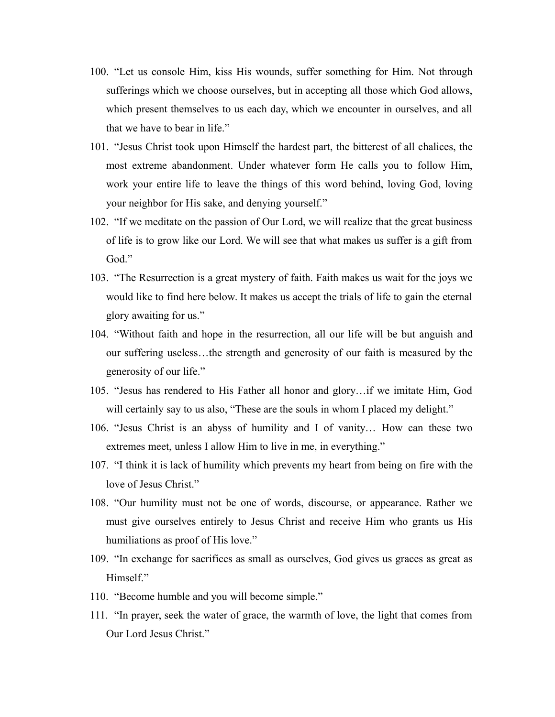- 100. "Let us console Him, kiss His wounds, suffer something for Him. Not through sufferings which we choose ourselves, but in accepting all those which God allows, which present themselves to us each day, which we encounter in ourselves, and all that we have to bear in life."
- 101. "Jesus Christ took upon Himself the hardest part, the bitterest of all chalices, the most extreme abandonment. Under whatever form He calls you to follow Him, work your entire life to leave the things of this word behind, loving God, loving your neighbor for His sake, and denying yourself."
- 102. "If we meditate on the passion of Our Lord, we will realize that the great business of life is to grow like our Lord. We will see that what makes us suffer is a gift from God."
- 103. "The Resurrection is a great mystery of faith. Faith makes us wait for the joys we would like to find here below. It makes us accept the trials of life to gain the eternal glory awaiting for us."
- 104. "Without faith and hope in the resurrection, all our life will be but anguish and our suffering useless…the strength and generosity of our faith is measured by the generosity of our life."
- 105. "Jesus has rendered to His Father all honor and glory…if we imitate Him, God will certainly say to us also, "These are the souls in whom I placed my delight."
- 106. "Jesus Christ is an abyss of humility and I of vanity… How can these two extremes meet, unless I allow Him to live in me, in everything."
- 107. "I think it is lack of humility which prevents my heart from being on fire with the love of Jesus Christ."
- 108. "Our humility must not be one of words, discourse, or appearance. Rather we must give ourselves entirely to Jesus Christ and receive Him who grants us His humiliations as proof of His love."
- 109. "In exchange for sacrifices as small as ourselves, God gives us graces as great as Himself."
- 110. "Become humble and you will become simple."
- 111. "In prayer, seek the water of grace, the warmth of love, the light that comes from Our Lord Jesus Christ."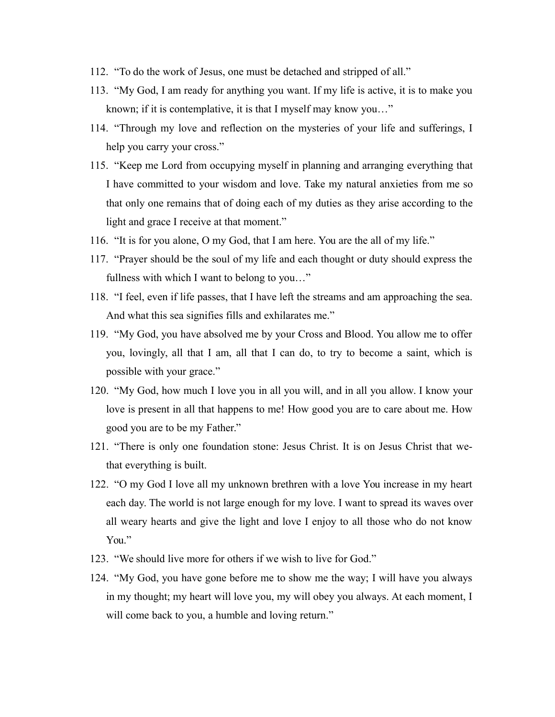- 112. "To do the work of Jesus, one must be detached and stripped of all."
- 113. "My God, I am ready for anything you want. If my life is active, it is to make you known; if it is contemplative, it is that I myself may know you…"
- 114. "Through my love and reflection on the mysteries of your life and sufferings, I help you carry your cross."
- 115. "Keep me Lord from occupying myself in planning and arranging everything that I have committed to your wisdom and love. Take my natural anxieties from me so that only one remains that of doing each of my duties as they arise according to the light and grace I receive at that moment."
- 116. "It is for you alone, O my God, that I am here. You are the all of my life."
- 117. "Prayer should be the soul of my life and each thought or duty should express the fullness with which I want to belong to you…"
- 118. "I feel, even if life passes, that I have left the streams and am approaching the sea. And what this sea signifies fills and exhilarates me."
- 119. "My God, you have absolved me by your Cross and Blood. You allow me to offer you, lovingly, all that I am, all that I can do, to try to become a saint, which is possible with your grace."
- 120. "My God, how much I love you in all you will, and in all you allow. I know your love is present in all that happens to me! How good you are to care about me. How good you are to be my Father."
- 121. "There is only one foundation stone: Jesus Christ. It is on Jesus Christ that wethat everything is built.
- 122. "O my God I love all my unknown brethren with a love You increase in my heart each day. The world is not large enough for my love. I want to spread its waves over all weary hearts and give the light and love I enjoy to all those who do not know Y<sub>ou</sub>"
- 123. "We should live more for others if we wish to live for God."
- 124. "My God, you have gone before me to show me the way; I will have you always in my thought; my heart will love you, my will obey you always. At each moment, I will come back to you, a humble and loving return."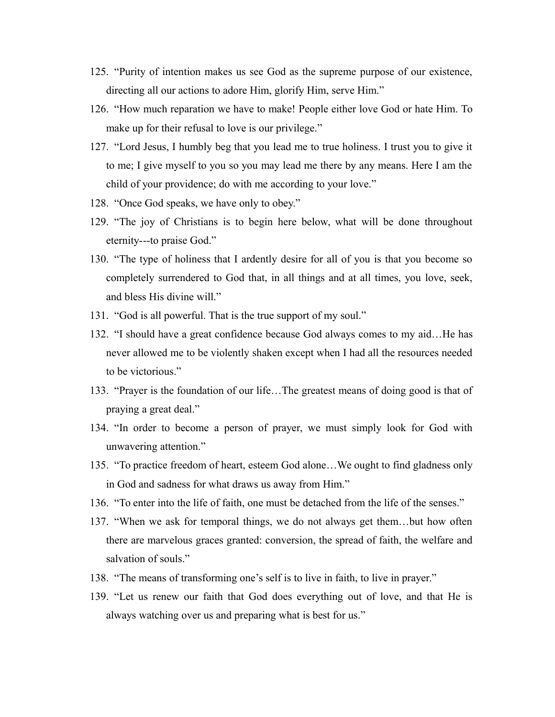- 125. "Purity of intention makes us see God as the supreme purpose of our existence, directing all our actions to adore Him, glorify Him, serve Him."
- 126. "How much reparation we have to make! People either love God or hate Him. To make up for their refusal to love is our privilege."
- 127. "Lord Jesus, I humbly beg that you lead me to true holiness. I trust you to give it to me; I give myself to you so you may lead me there by any means. Here I am the child of your providence; do with me according to your love."
- 128. "Once God speaks, we have only to obey."
- 129. "The joy of Christians is to begin here below, what will be done throughout eternity---to praise God."
- 130. "The type of holiness that I ardently desire for all of you is that you become so completely surrendered to God that, in all things and at all times, you love, seek, and bless His divine will."
- 131. "God is all powerful. That is the true support of my soul."
- 132. "I should have a great confidence because God always comes to my aid…He has never allowed me to be violently shaken except when I had all the resources needed to be victorious."
- 133. "Prayer is the foundation of our life…The greatest means of doing good is that of praying a great deal."
- 134. "In order to become a person of prayer, we must simply look for God with unwavering attention."
- 135. "To practice freedom of heart, esteem God alone…We ought to find gladness only in God and sadness for what draws us away from Him."
- 136. "To enter into the life of faith, one must be detached from the life of the senses."
- 137. "When we ask for temporal things, we do not always get them…but how often there are marvelous graces granted: conversion, the spread of faith, the welfare and salvation of souls."
- 138. "The means of transforming one's self is to live in faith, to live in prayer."
- 139. "Let us renew our faith that God does everything out of love, and that He is always watching over us and preparing what is best for us."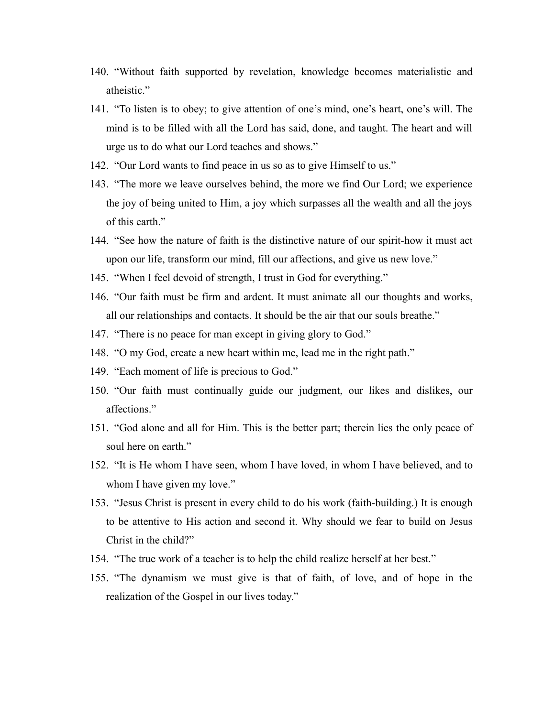- 140. "Without faith supported by revelation, knowledge becomes materialistic and atheistic."
- 141. "To listen is to obey; to give attention of one's mind, one's heart, one's will. The mind is to be filled with all the Lord has said, done, and taught. The heart and will urge us to do what our Lord teaches and shows."
- 142. "Our Lord wants to find peace in us so as to give Himself to us."
- 143. "The more we leave ourselves behind, the more we find Our Lord; we experience the joy of being united to Him, a joy which surpasses all the wealth and all the joys of this earth."
- 144. "See how the nature of faith is the distinctive nature of our spirit-how it must act upon our life, transform our mind, fill our affections, and give us new love."
- 145. "When I feel devoid of strength, I trust in God for everything."
- 146. "Our faith must be firm and ardent. It must animate all our thoughts and works, all our relationships and contacts. It should be the air that our souls breathe."
- 147. "There is no peace for man except in giving glory to God."
- 148. "O my God, create a new heart within me, lead me in the right path."
- 149. "Each moment of life is precious to God."
- 150. "Our faith must continually guide our judgment, our likes and dislikes, our affections."
- 151. "God alone and all for Him. This is the better part; therein lies the only peace of soul here on earth."
- 152. "It is He whom I have seen, whom I have loved, in whom I have believed, and to whom I have given my love."
- 153. "Jesus Christ is present in every child to do his work (faith-building.) It is enough to be attentive to His action and second it. Why should we fear to build on Jesus Christ in the child?"
- 154. "The true work of a teacher is to help the child realize herself at her best."
- 155. "The dynamism we must give is that of faith, of love, and of hope in the realization of the Gospel in our lives today."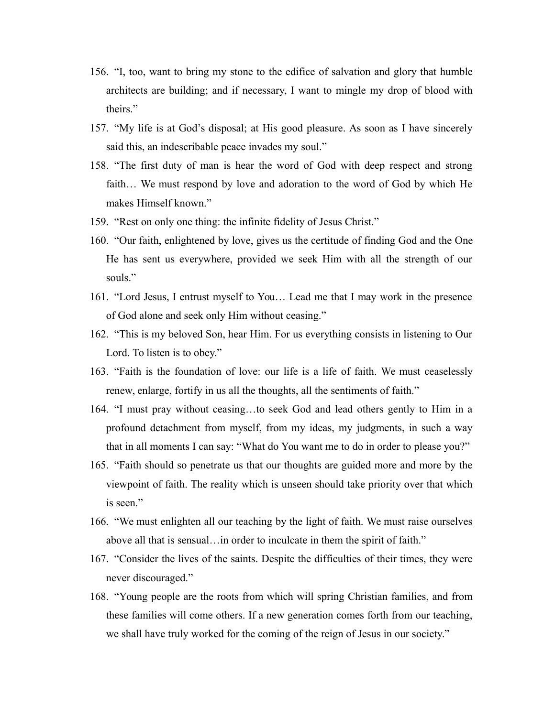- 156. "I, too, want to bring my stone to the edifice of salvation and glory that humble architects are building; and if necessary, I want to mingle my drop of blood with theirs."
- 157. "My life is at God's disposal; at His good pleasure. As soon as I have sincerely said this, an indescribable peace invades my soul."
- 158. "The first duty of man is hear the word of God with deep respect and strong faith… We must respond by love and adoration to the word of God by which He makes Himself known."
- 159. "Rest on only one thing: the infinite fidelity of Jesus Christ."
- 160. "Our faith, enlightened by love, gives us the certitude of finding God and the One He has sent us everywhere, provided we seek Him with all the strength of our souls."
- 161. "Lord Jesus, I entrust myself to You… Lead me that I may work in the presence of God alone and seek only Him without ceasing."
- 162. "This is my beloved Son, hear Him. For us everything consists in listening to Our Lord. To listen is to obey."
- 163. "Faith is the foundation of love: our life is a life of faith. We must ceaselessly renew, enlarge, fortify in us all the thoughts, all the sentiments of faith."
- 164. "I must pray without ceasing…to seek God and lead others gently to Him in a profound detachment from myself, from my ideas, my judgments, in such a way that in all moments I can say: "What do You want me to do in order to please you?"
- 165. "Faith should so penetrate us that our thoughts are guided more and more by the viewpoint of faith. The reality which is unseen should take priority over that which is seen."
- 166. "We must enlighten all our teaching by the light of faith. We must raise ourselves above all that is sensual…in order to inculcate in them the spirit of faith."
- 167. "Consider the lives of the saints. Despite the difficulties of their times, they were never discouraged."
- 168. "Young people are the roots from which will spring Christian families, and from these families will come others. If a new generation comes forth from our teaching, we shall have truly worked for the coming of the reign of Jesus in our society."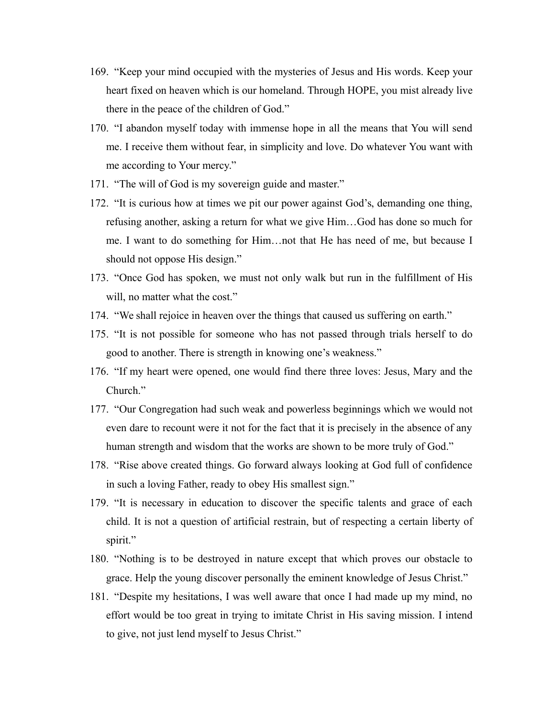- 169. "Keep your mind occupied with the mysteries of Jesus and His words. Keep your heart fixed on heaven which is our homeland. Through HOPE, you mist already live there in the peace of the children of God."
- 170. "I abandon myself today with immense hope in all the means that You will send me. I receive them without fear, in simplicity and love. Do whatever You want with me according to Your mercy."
- 171. "The will of God is my sovereign guide and master."
- 172. "It is curious how at times we pit our power against God's, demanding one thing, refusing another, asking a return for what we give Him…God has done so much for me. I want to do something for Him…not that He has need of me, but because I should not oppose His design."
- 173. "Once God has spoken, we must not only walk but run in the fulfillment of His will, no matter what the cost."
- 174. "We shall rejoice in heaven over the things that caused us suffering on earth."
- 175. "It is not possible for someone who has not passed through trials herself to do good to another. There is strength in knowing one's weakness."
- 176. "If my heart were opened, one would find there three loves: Jesus, Mary and the Church<sup>"</sup>
- 177. "Our Congregation had such weak and powerless beginnings which we would not even dare to recount were it not for the fact that it is precisely in the absence of any human strength and wisdom that the works are shown to be more truly of God."
- 178. "Rise above created things. Go forward always looking at God full of confidence in such a loving Father, ready to obey His smallest sign."
- 179. "It is necessary in education to discover the specific talents and grace of each child. It is not a question of artificial restrain, but of respecting a certain liberty of spirit."
- 180. "Nothing is to be destroyed in nature except that which proves our obstacle to grace. Help the young discover personally the eminent knowledge of Jesus Christ."
- 181. "Despite my hesitations, I was well aware that once I had made up my mind, no effort would be too great in trying to imitate Christ in His saving mission. I intend to give, not just lend myself to Jesus Christ."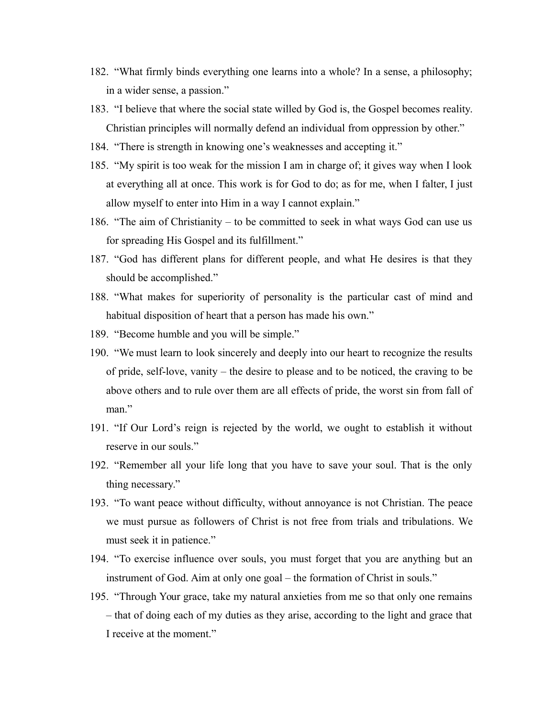- 182. "What firmly binds everything one learns into a whole? In a sense, a philosophy; in a wider sense, a passion."
- 183. "I believe that where the social state willed by God is, the Gospel becomes reality. Christian principles will normally defend an individual from oppression by other."
- 184. "There is strength in knowing one's weaknesses and accepting it."
- 185. "My spirit is too weak for the mission I am in charge of; it gives way when I look at everything all at once. This work is for God to do; as for me, when I falter, I just allow myself to enter into Him in a way I cannot explain."
- 186. "The aim of Christianity to be committed to seek in what ways God can use us for spreading His Gospel and its fulfillment."
- 187. "God has different plans for different people, and what He desires is that they should be accomplished."
- 188. "What makes for superiority of personality is the particular cast of mind and habitual disposition of heart that a person has made his own."
- 189. "Become humble and you will be simple."
- 190. "We must learn to look sincerely and deeply into our heart to recognize the results of pride, self-love, vanity – the desire to please and to be noticed, the craving to be above others and to rule over them are all effects of pride, the worst sin from fall of man."
- 191. "If Our Lord's reign is rejected by the world, we ought to establish it without reserve in our souls."
- 192. "Remember all your life long that you have to save your soul. That is the only thing necessary."
- 193. "To want peace without difficulty, without annoyance is not Christian. The peace we must pursue as followers of Christ is not free from trials and tribulations. We must seek it in patience."
- 194. "To exercise influence over souls, you must forget that you are anything but an instrument of God. Aim at only one goal – the formation of Christ in souls."
- 195. "Through Your grace, take my natural anxieties from me so that only one remains – that of doing each of my duties as they arise, according to the light and grace that I receive at the moment."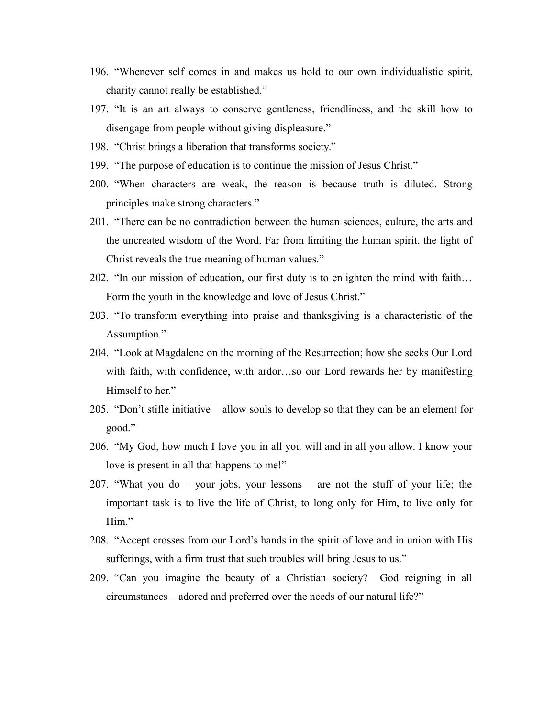- 196. "Whenever self comes in and makes us hold to our own individualistic spirit, charity cannot really be established."
- 197. "It is an art always to conserve gentleness, friendliness, and the skill how to disengage from people without giving displeasure."
- 198. "Christ brings a liberation that transforms society."
- 199. "The purpose of education is to continue the mission of Jesus Christ."
- 200. "When characters are weak, the reason is because truth is diluted. Strong principles make strong characters."
- 201. "There can be no contradiction between the human sciences, culture, the arts and the uncreated wisdom of the Word. Far from limiting the human spirit, the light of Christ reveals the true meaning of human values."
- 202. "In our mission of education, our first duty is to enlighten the mind with faith… Form the youth in the knowledge and love of Jesus Christ."
- 203. "To transform everything into praise and thanksgiving is a characteristic of the Assumption."
- 204. "Look at Magdalene on the morning of the Resurrection; how she seeks Our Lord with faith, with confidence, with ardor…so our Lord rewards her by manifesting Himself to her."
- 205. "Don't stifle initiative allow souls to develop so that they can be an element for good."
- 206. "My God, how much I love you in all you will and in all you allow. I know your love is present in all that happens to me!"
- 207. "What you do your jobs, your lessons are not the stuff of your life; the important task is to live the life of Christ, to long only for Him, to live only for Him."
- 208. "Accept crosses from our Lord's hands in the spirit of love and in union with His sufferings, with a firm trust that such troubles will bring Jesus to us."
- 209. "Can you imagine the beauty of a Christian society? God reigning in all circumstances – adored and preferred over the needs of our natural life?"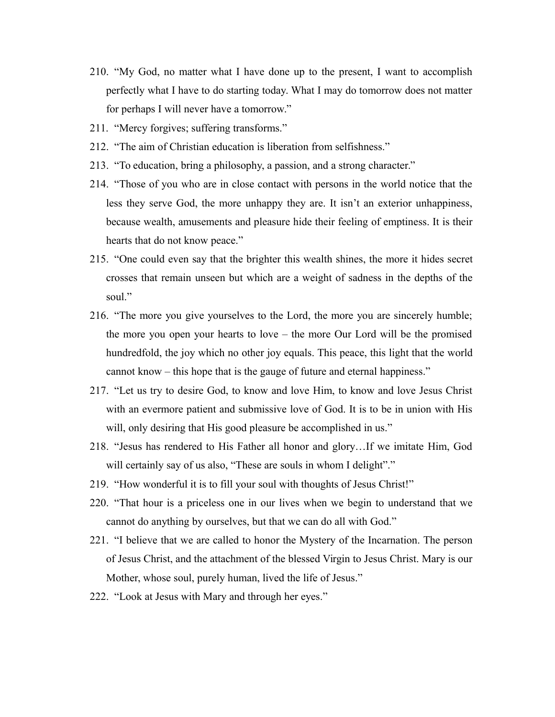- 210. "My God, no matter what I have done up to the present, I want to accomplish perfectly what I have to do starting today. What I may do tomorrow does not matter for perhaps I will never have a tomorrow."
- 211. "Mercy forgives; suffering transforms."
- 212. "The aim of Christian education is liberation from selfishness."
- 213. "To education, bring a philosophy, a passion, and a strong character."
- 214. "Those of you who are in close contact with persons in the world notice that the less they serve God, the more unhappy they are. It isn't an exterior unhappiness, because wealth, amusements and pleasure hide their feeling of emptiness. It is their hearts that do not know peace."
- 215. "One could even say that the brighter this wealth shines, the more it hides secret crosses that remain unseen but which are a weight of sadness in the depths of the soul"
- 216. "The more you give yourselves to the Lord, the more you are sincerely humble; the more you open your hearts to love – the more Our Lord will be the promised hundredfold, the joy which no other joy equals. This peace, this light that the world cannot know – this hope that is the gauge of future and eternal happiness."
- 217. "Let us try to desire God, to know and love Him, to know and love Jesus Christ with an evermore patient and submissive love of God. It is to be in union with His will, only desiring that His good pleasure be accomplished in us."
- 218. "Jesus has rendered to His Father all honor and glory…If we imitate Him, God will certainly say of us also, "These are souls in whom I delight"."
- 219. "How wonderful it is to fill your soul with thoughts of Jesus Christ!"
- 220. "That hour is a priceless one in our lives when we begin to understand that we cannot do anything by ourselves, but that we can do all with God."
- 221. "I believe that we are called to honor the Mystery of the Incarnation. The person of Jesus Christ, and the attachment of the blessed Virgin to Jesus Christ. Mary is our Mother, whose soul, purely human, lived the life of Jesus."
- 222. "Look at Jesus with Mary and through her eyes."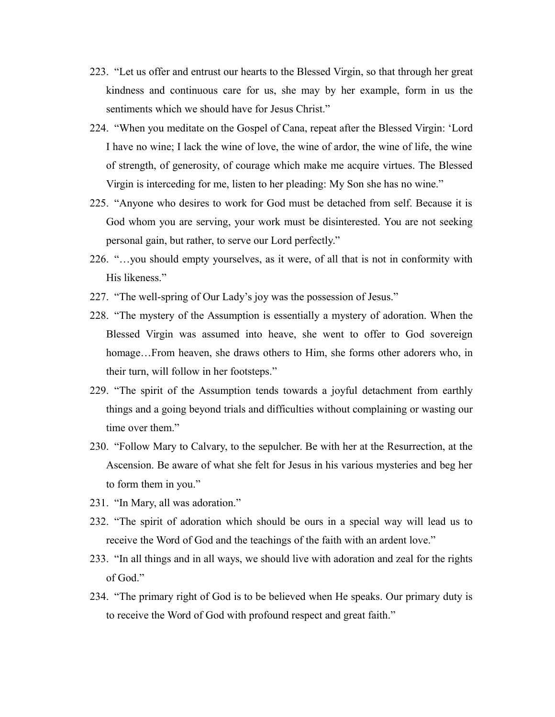- 223. "Let us offer and entrust our hearts to the Blessed Virgin, so that through her great kindness and continuous care for us, she may by her example, form in us the sentiments which we should have for Jesus Christ."
- 224. "When you meditate on the Gospel of Cana, repeat after the Blessed Virgin: 'Lord I have no wine; I lack the wine of love, the wine of ardor, the wine of life, the wine of strength, of generosity, of courage which make me acquire virtues. The Blessed Virgin is interceding for me, listen to her pleading: My Son she has no wine."
- 225. "Anyone who desires to work for God must be detached from self. Because it is God whom you are serving, your work must be disinterested. You are not seeking personal gain, but rather, to serve our Lord perfectly."
- 226. "…you should empty yourselves, as it were, of all that is not in conformity with His likeness."
- 227. "The well-spring of Our Lady's joy was the possession of Jesus."
- 228. "The mystery of the Assumption is essentially a mystery of adoration. When the Blessed Virgin was assumed into heave, she went to offer to God sovereign homage...From heaven, she draws others to Him, she forms other adorers who, in their turn, will follow in her footsteps."
- 229. "The spirit of the Assumption tends towards a joyful detachment from earthly things and a going beyond trials and difficulties without complaining or wasting our time over them."
- 230. "Follow Mary to Calvary, to the sepulcher. Be with her at the Resurrection, at the Ascension. Be aware of what she felt for Jesus in his various mysteries and beg her to form them in you."
- 231. "In Mary, all was adoration."
- 232. "The spirit of adoration which should be ours in a special way will lead us to receive the Word of God and the teachings of the faith with an ardent love."
- 233. "In all things and in all ways, we should live with adoration and zeal for the rights of God."
- 234. "The primary right of God is to be believed when He speaks. Our primary duty is to receive the Word of God with profound respect and great faith."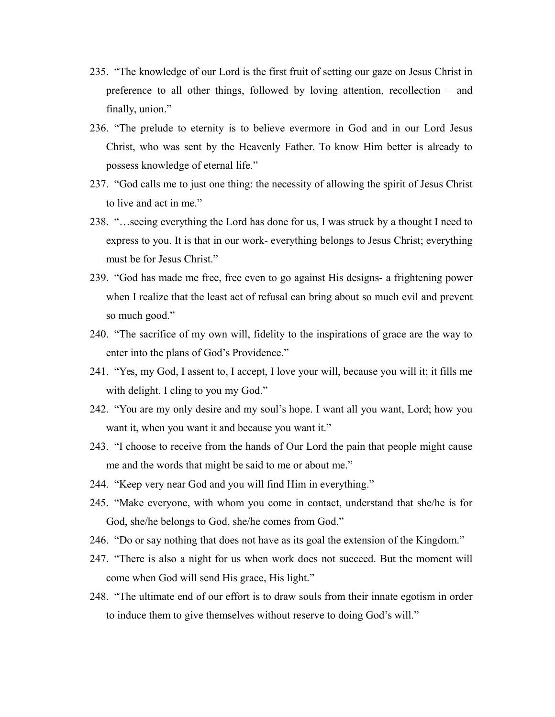- 235. "The knowledge of our Lord is the first fruit of setting our gaze on Jesus Christ in preference to all other things, followed by loving attention, recollection – and finally, union."
- 236. "The prelude to eternity is to believe evermore in God and in our Lord Jesus Christ, who was sent by the Heavenly Father. To know Him better is already to possess knowledge of eternal life."
- 237. "God calls me to just one thing: the necessity of allowing the spirit of Jesus Christ to live and act in me."
- 238. "…seeing everything the Lord has done for us, I was struck by a thought I need to express to you. It is that in our work- everything belongs to Jesus Christ; everything must be for Jesus Christ."
- 239. "God has made me free, free even to go against His designs- a frightening power when I realize that the least act of refusal can bring about so much evil and prevent so much good."
- 240. "The sacrifice of my own will, fidelity to the inspirations of grace are the way to enter into the plans of God's Providence."
- 241. "Yes, my God, I assent to, I accept, I love your will, because you will it; it fills me with delight. I cling to you my God."
- 242. "You are my only desire and my soul's hope. I want all you want, Lord; how you want it, when you want it and because you want it."
- 243. "I choose to receive from the hands of Our Lord the pain that people might cause me and the words that might be said to me or about me."
- 244. "Keep very near God and you will find Him in everything."
- 245. "Make everyone, with whom you come in contact, understand that she/he is for God, she/he belongs to God, she/he comes from God."
- 246. "Do or say nothing that does not have as its goal the extension of the Kingdom."
- 247. "There is also a night for us when work does not succeed. But the moment will come when God will send His grace, His light."
- 248. "The ultimate end of our effort is to draw souls from their innate egotism in order to induce them to give themselves without reserve to doing God's will."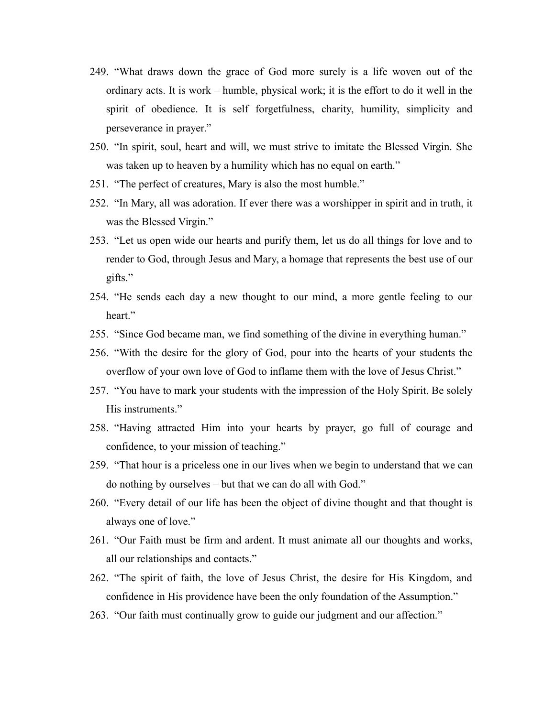- 249. "What draws down the grace of God more surely is a life woven out of the ordinary acts. It is work – humble, physical work; it is the effort to do it well in the spirit of obedience. It is self forgetfulness, charity, humility, simplicity and perseverance in prayer."
- 250. "In spirit, soul, heart and will, we must strive to imitate the Blessed Virgin. She was taken up to heaven by a humility which has no equal on earth."
- 251. "The perfect of creatures, Mary is also the most humble."
- 252. "In Mary, all was adoration. If ever there was a worshipper in spirit and in truth, it was the Blessed Virgin."
- 253. "Let us open wide our hearts and purify them, let us do all things for love and to render to God, through Jesus and Mary, a homage that represents the best use of our gifts."
- 254. "He sends each day a new thought to our mind, a more gentle feeling to our heart."
- 255. "Since God became man, we find something of the divine in everything human."
- 256. "With the desire for the glory of God, pour into the hearts of your students the overflow of your own love of God to inflame them with the love of Jesus Christ."
- 257. "You have to mark your students with the impression of the Holy Spirit. Be solely His instruments."
- 258. "Having attracted Him into your hearts by prayer, go full of courage and confidence, to your mission of teaching."
- 259. "That hour is a priceless one in our lives when we begin to understand that we can do nothing by ourselves – but that we can do all with God."
- 260. "Every detail of our life has been the object of divine thought and that thought is always one of love."
- 261. "Our Faith must be firm and ardent. It must animate all our thoughts and works, all our relationships and contacts."
- 262. "The spirit of faith, the love of Jesus Christ, the desire for His Kingdom, and confidence in His providence have been the only foundation of the Assumption."
- 263. "Our faith must continually grow to guide our judgment and our affection."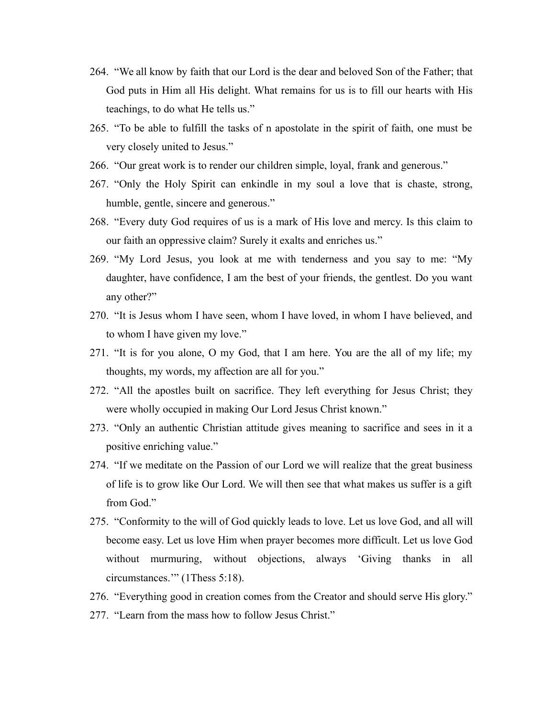- 264. "We all know by faith that our Lord is the dear and beloved Son of the Father; that God puts in Him all His delight. What remains for us is to fill our hearts with His teachings, to do what He tells us."
- 265. "To be able to fulfill the tasks of n apostolate in the spirit of faith, one must be very closely united to Jesus."
- 266. "Our great work is to render our children simple, loyal, frank and generous."
- 267. "Only the Holy Spirit can enkindle in my soul a love that is chaste, strong, humble, gentle, sincere and generous."
- 268. "Every duty God requires of us is a mark of His love and mercy. Is this claim to our faith an oppressive claim? Surely it exalts and enriches us."
- 269. "My Lord Jesus, you look at me with tenderness and you say to me: "My daughter, have confidence, I am the best of your friends, the gentlest. Do you want any other?"
- 270. "It is Jesus whom I have seen, whom I have loved, in whom I have believed, and to whom I have given my love."
- 271. "It is for you alone, O my God, that I am here. You are the all of my life; my thoughts, my words, my affection are all for you."
- 272. "All the apostles built on sacrifice. They left everything for Jesus Christ; they were wholly occupied in making Our Lord Jesus Christ known."
- 273. "Only an authentic Christian attitude gives meaning to sacrifice and sees in it a positive enriching value."
- 274. "If we meditate on the Passion of our Lord we will realize that the great business of life is to grow like Our Lord. We will then see that what makes us suffer is a gift from God."
- 275. "Conformity to the will of God quickly leads to love. Let us love God, and all will become easy. Let us love Him when prayer becomes more difficult. Let us love God without murmuring, without objections, always 'Giving thanks in all circumstances.'" (1Thess 5:18).
- 276. "Everything good in creation comes from the Creator and should serve His glory."
- 277. "Learn from the mass how to follow Jesus Christ."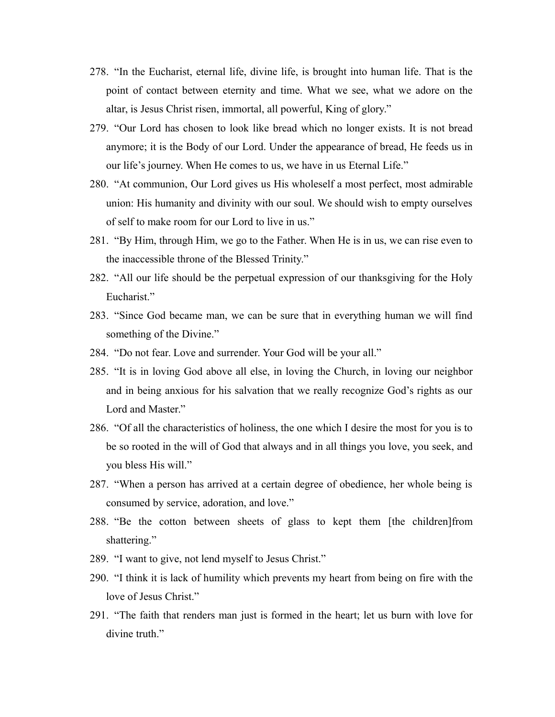- 278. "In the Eucharist, eternal life, divine life, is brought into human life. That is the point of contact between eternity and time. What we see, what we adore on the altar, is Jesus Christ risen, immortal, all powerful, King of glory."
- 279. "Our Lord has chosen to look like bread which no longer exists. It is not bread anymore; it is the Body of our Lord. Under the appearance of bread, He feeds us in our life's journey. When He comes to us, we have in us Eternal Life."
- 280. "At communion, Our Lord gives us His wholeself a most perfect, most admirable union: His humanity and divinity with our soul. We should wish to empty ourselves of self to make room for our Lord to live in us."
- 281. "By Him, through Him, we go to the Father. When He is in us, we can rise even to the inaccessible throne of the Blessed Trinity."
- 282. "All our life should be the perpetual expression of our thanksgiving for the Holy Eucharist<sup>"</sup>
- 283. "Since God became man, we can be sure that in everything human we will find something of the Divine."
- 284. "Do not fear. Love and surrender. Your God will be your all."
- 285. "It is in loving God above all else, in loving the Church, in loving our neighbor and in being anxious for his salvation that we really recognize God's rights as our Lord and Master."
- 286. "Of all the characteristics of holiness, the one which I desire the most for you is to be so rooted in the will of God that always and in all things you love, you seek, and you bless His will."
- 287. "When a person has arrived at a certain degree of obedience, her whole being is consumed by service, adoration, and love."
- 288. "Be the cotton between sheets of glass to kept them [the children]from shattering."
- 289. "I want to give, not lend myself to Jesus Christ."
- 290. "I think it is lack of humility which prevents my heart from being on fire with the love of Jesus Christ."
- 291. "The faith that renders man just is formed in the heart; let us burn with love for divine truth"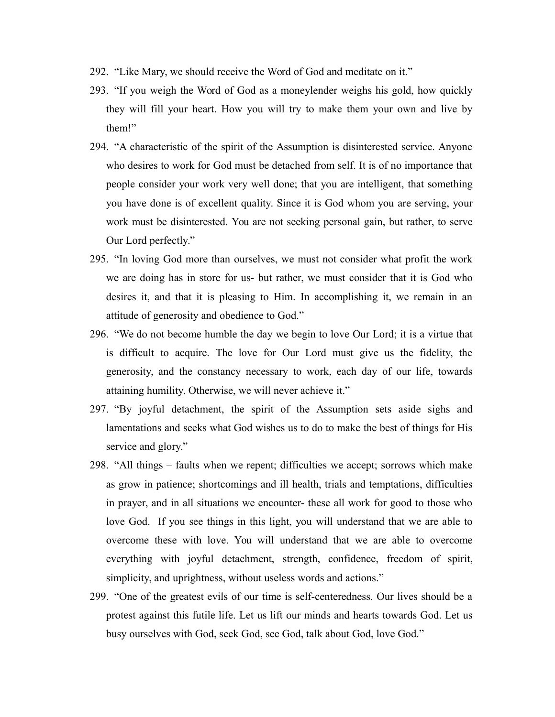- 292. "Like Mary, we should receive the Word of God and meditate on it."
- 293. "If you weigh the Word of God as a moneylender weighs his gold, how quickly they will fill your heart. How you will try to make them your own and live by them!"
- 294. "A characteristic of the spirit of the Assumption is disinterested service. Anyone who desires to work for God must be detached from self. It is of no importance that people consider your work very well done; that you are intelligent, that something you have done is of excellent quality. Since it is God whom you are serving, your work must be disinterested. You are not seeking personal gain, but rather, to serve Our Lord perfectly."
- 295. "In loving God more than ourselves, we must not consider what profit the work we are doing has in store for us- but rather, we must consider that it is God who desires it, and that it is pleasing to Him. In accomplishing it, we remain in an attitude of generosity and obedience to God."
- 296. "We do not become humble the day we begin to love Our Lord; it is a virtue that is difficult to acquire. The love for Our Lord must give us the fidelity, the generosity, and the constancy necessary to work, each day of our life, towards attaining humility. Otherwise, we will never achieve it."
- 297. "By joyful detachment, the spirit of the Assumption sets aside sighs and lamentations and seeks what God wishes us to do to make the best of things for His service and glory."
- 298. "All things faults when we repent; difficulties we accept; sorrows which make as grow in patience; shortcomings and ill health, trials and temptations, difficulties in prayer, and in all situations we encounter- these all work for good to those who love God. If you see things in this light, you will understand that we are able to overcome these with love. You will understand that we are able to overcome everything with joyful detachment, strength, confidence, freedom of spirit, simplicity, and uprightness, without useless words and actions."
- 299. "One of the greatest evils of our time is self-centeredness. Our lives should be a protest against this futile life. Let us lift our minds and hearts towards God. Let us busy ourselves with God, seek God, see God, talk about God, love God."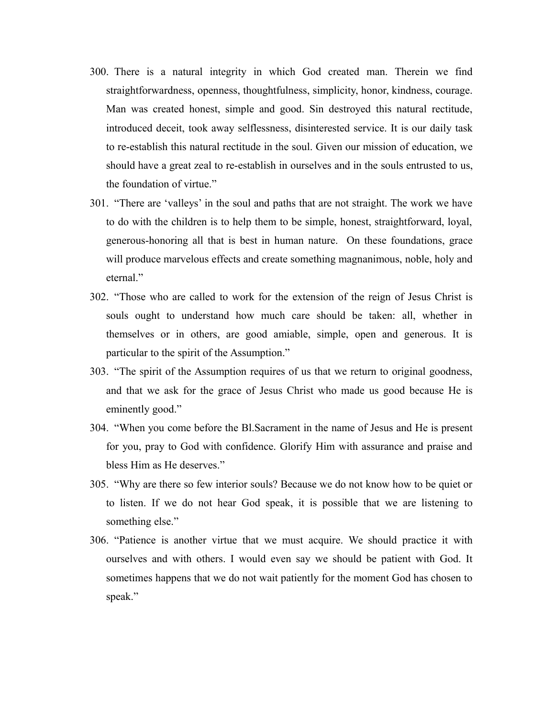- 300. There is a natural integrity in which God created man. Therein we find straightforwardness, openness, thoughtfulness, simplicity, honor, kindness, courage. Man was created honest, simple and good. Sin destroyed this natural rectitude, introduced deceit, took away selflessness, disinterested service. It is our daily task to re-establish this natural rectitude in the soul. Given our mission of education, we should have a great zeal to re-establish in ourselves and in the souls entrusted to us, the foundation of virtue."
- 301. "There are 'valleys' in the soul and paths that are not straight. The work we have to do with the children is to help them to be simple, honest, straightforward, loyal, generous-honoring all that is best in human nature. On these foundations, grace will produce marvelous effects and create something magnanimous, noble, holy and eternal."
- 302. "Those who are called to work for the extension of the reign of Jesus Christ is souls ought to understand how much care should be taken: all, whether in themselves or in others, are good amiable, simple, open and generous. It is particular to the spirit of the Assumption."
- 303. "The spirit of the Assumption requires of us that we return to original goodness, and that we ask for the grace of Jesus Christ who made us good because He is eminently good."
- 304. "When you come before the Bl.Sacrament in the name of Jesus and He is present for you, pray to God with confidence. Glorify Him with assurance and praise and bless Him as He deserves."
- 305. "Why are there so few interior souls? Because we do not know how to be quiet or to listen. If we do not hear God speak, it is possible that we are listening to something else."
- 306. "Patience is another virtue that we must acquire. We should practice it with ourselves and with others. I would even say we should be patient with God. It sometimes happens that we do not wait patiently for the moment God has chosen to speak."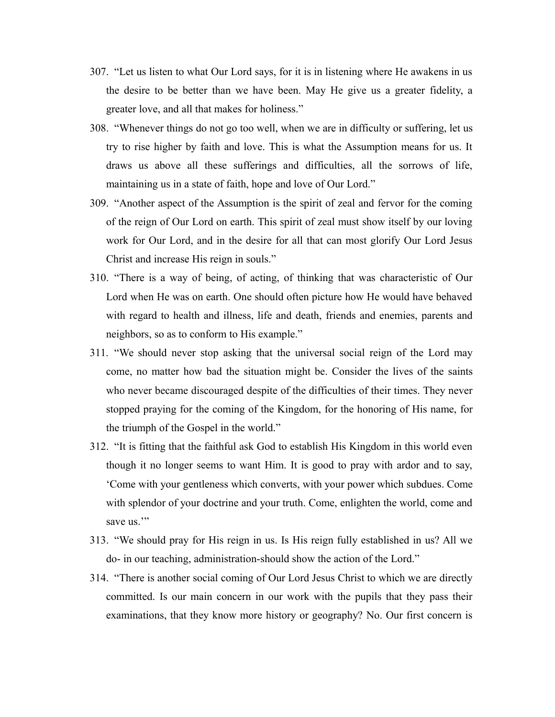- 307. "Let us listen to what Our Lord says, for it is in listening where He awakens in us the desire to be better than we have been. May He give us a greater fidelity, a greater love, and all that makes for holiness."
- 308. "Whenever things do not go too well, when we are in difficulty or suffering, let us try to rise higher by faith and love. This is what the Assumption means for us. It draws us above all these sufferings and difficulties, all the sorrows of life, maintaining us in a state of faith, hope and love of Our Lord."
- 309. "Another aspect of the Assumption is the spirit of zeal and fervor for the coming of the reign of Our Lord on earth. This spirit of zeal must show itself by our loving work for Our Lord, and in the desire for all that can most glorify Our Lord Jesus Christ and increase His reign in souls."
- 310. "There is a way of being, of acting, of thinking that was characteristic of Our Lord when He was on earth. One should often picture how He would have behaved with regard to health and illness, life and death, friends and enemies, parents and neighbors, so as to conform to His example."
- 311. "We should never stop asking that the universal social reign of the Lord may come, no matter how bad the situation might be. Consider the lives of the saints who never became discouraged despite of the difficulties of their times. They never stopped praying for the coming of the Kingdom, for the honoring of His name, for the triumph of the Gospel in the world."
- 312. "It is fitting that the faithful ask God to establish His Kingdom in this world even though it no longer seems to want Him. It is good to pray with ardor and to say, 'Come with your gentleness which converts, with your power which subdues. Come with splendor of your doctrine and your truth. Come, enlighten the world, come and save us<sup>""</sup>
- 313. "We should pray for His reign in us. Is His reign fully established in us? All we do- in our teaching, administration-should show the action of the Lord."
- 314. "There is another social coming of Our Lord Jesus Christ to which we are directly committed. Is our main concern in our work with the pupils that they pass their examinations, that they know more history or geography? No. Our first concern is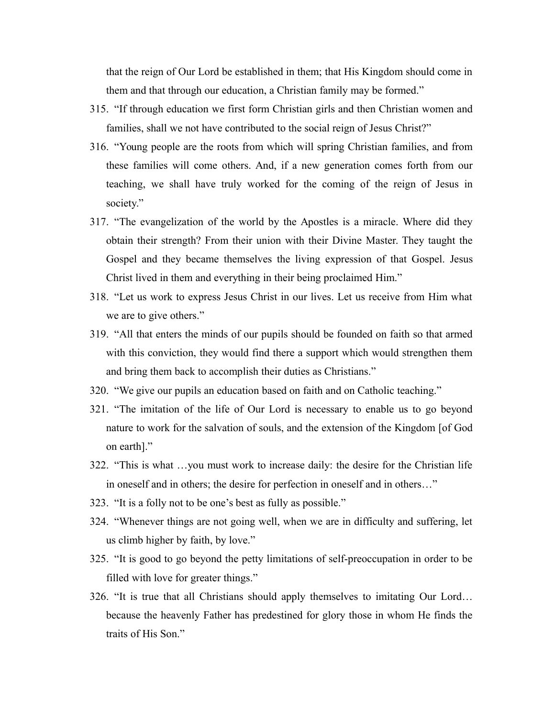that the reign of Our Lord be established in them; that His Kingdom should come in them and that through our education, a Christian family may be formed."

- 315. "If through education we first form Christian girls and then Christian women and families, shall we not have contributed to the social reign of Jesus Christ?"
- 316. "Young people are the roots from which will spring Christian families, and from these families will come others. And, if a new generation comes forth from our teaching, we shall have truly worked for the coming of the reign of Jesus in society."
- 317. "The evangelization of the world by the Apostles is a miracle. Where did they obtain their strength? From their union with their Divine Master. They taught the Gospel and they became themselves the living expression of that Gospel. Jesus Christ lived in them and everything in their being proclaimed Him."
- 318. "Let us work to express Jesus Christ in our lives. Let us receive from Him what we are to give others."
- 319. "All that enters the minds of our pupils should be founded on faith so that armed with this conviction, they would find there a support which would strengthen them and bring them back to accomplish their duties as Christians."
- 320. "We give our pupils an education based on faith and on Catholic teaching."
- 321. "The imitation of the life of Our Lord is necessary to enable us to go beyond nature to work for the salvation of souls, and the extension of the Kingdom [of God on earth]."
- 322. "This is what …you must work to increase daily: the desire for the Christian life in oneself and in others; the desire for perfection in oneself and in others…"
- 323. "It is a folly not to be one's best as fully as possible."
- 324. "Whenever things are not going well, when we are in difficulty and suffering, let us climb higher by faith, by love."
- 325. "It is good to go beyond the petty limitations of self-preoccupation in order to be filled with love for greater things."
- 326. "It is true that all Christians should apply themselves to imitating Our Lord… because the heavenly Father has predestined for glory those in whom He finds the traits of His Son."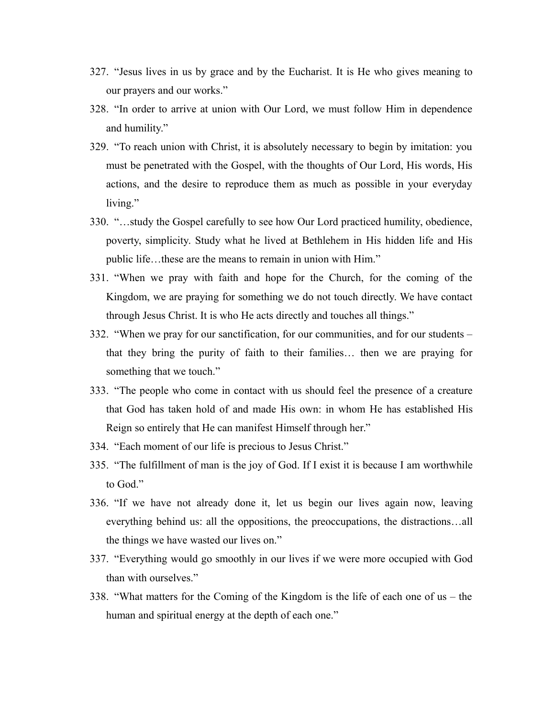- 327. "Jesus lives in us by grace and by the Eucharist. It is He who gives meaning to our prayers and our works."
- 328. "In order to arrive at union with Our Lord, we must follow Him in dependence and humility."
- 329. "To reach union with Christ, it is absolutely necessary to begin by imitation: you must be penetrated with the Gospel, with the thoughts of Our Lord, His words, His actions, and the desire to reproduce them as much as possible in your everyday living."
- 330. "…study the Gospel carefully to see how Our Lord practiced humility, obedience, poverty, simplicity. Study what he lived at Bethlehem in His hidden life and His public life…these are the means to remain in union with Him."
- 331. "When we pray with faith and hope for the Church, for the coming of the Kingdom, we are praying for something we do not touch directly. We have contact through Jesus Christ. It is who He acts directly and touches all things."
- 332. "When we pray for our sanctification, for our communities, and for our students that they bring the purity of faith to their families… then we are praying for something that we touch."
- 333. "The people who come in contact with us should feel the presence of a creature that God has taken hold of and made His own: in whom He has established His Reign so entirely that He can manifest Himself through her."
- 334. "Each moment of our life is precious to Jesus Christ."
- 335. "The fulfillment of man is the joy of God. If I exist it is because I am worthwhile to God."
- 336. "If we have not already done it, let us begin our lives again now, leaving everything behind us: all the oppositions, the preoccupations, the distractions…all the things we have wasted our lives on."
- 337. "Everything would go smoothly in our lives if we were more occupied with God than with ourselves."
- 338. "What matters for the Coming of the Kingdom is the life of each one of us the human and spiritual energy at the depth of each one."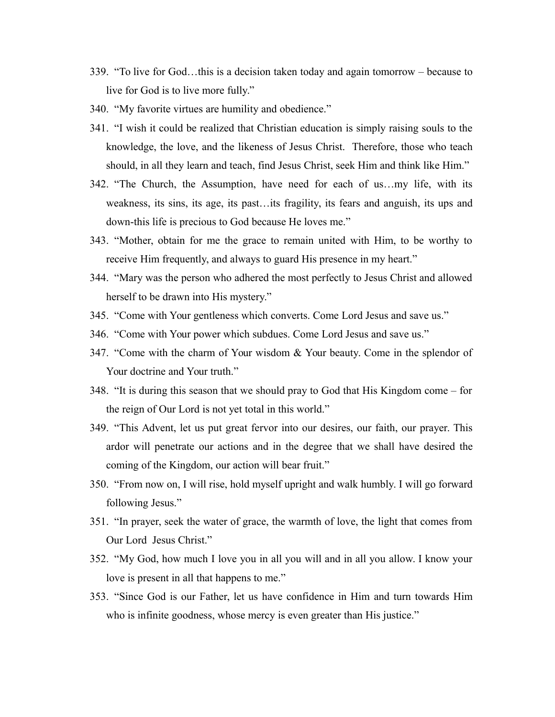- 339. "To live for God…this is a decision taken today and again tomorrow because to live for God is to live more fully."
- 340. "My favorite virtues are humility and obedience."
- 341. "I wish it could be realized that Christian education is simply raising souls to the knowledge, the love, and the likeness of Jesus Christ. Therefore, those who teach should, in all they learn and teach, find Jesus Christ, seek Him and think like Him."
- 342. "The Church, the Assumption, have need for each of us…my life, with its weakness, its sins, its age, its past…its fragility, its fears and anguish, its ups and down-this life is precious to God because He loves me."
- 343. "Mother, obtain for me the grace to remain united with Him, to be worthy to receive Him frequently, and always to guard His presence in my heart."
- 344. "Mary was the person who adhered the most perfectly to Jesus Christ and allowed herself to be drawn into His mystery."
- 345. "Come with Your gentleness which converts. Come Lord Jesus and save us."
- 346. "Come with Your power which subdues. Come Lord Jesus and save us."
- 347. "Come with the charm of Your wisdom & Your beauty. Come in the splendor of Your doctrine and Your truth."
- 348. "It is during this season that we should pray to God that His Kingdom come for the reign of Our Lord is not yet total in this world."
- 349. "This Advent, let us put great fervor into our desires, our faith, our prayer. This ardor will penetrate our actions and in the degree that we shall have desired the coming of the Kingdom, our action will bear fruit."
- 350. "From now on, I will rise, hold myself upright and walk humbly. I will go forward following Jesus."
- 351. "In prayer, seek the water of grace, the warmth of love, the light that comes from Our Lord Jesus Christ."
- 352. "My God, how much I love you in all you will and in all you allow. I know your love is present in all that happens to me."
- 353. "Since God is our Father, let us have confidence in Him and turn towards Him who is infinite goodness, whose mercy is even greater than His justice."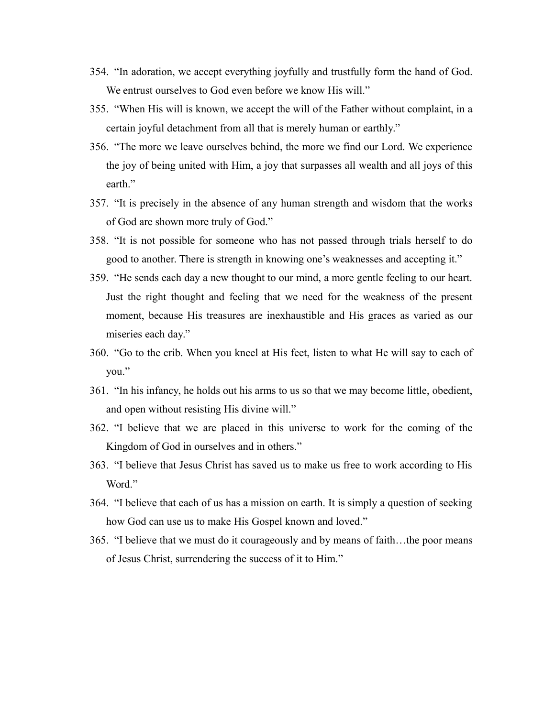- 354. "In adoration, we accept everything joyfully and trustfully form the hand of God. We entrust ourselves to God even before we know His will."
- 355. "When His will is known, we accept the will of the Father without complaint, in a certain joyful detachment from all that is merely human or earthly."
- 356. "The more we leave ourselves behind, the more we find our Lord. We experience the joy of being united with Him, a joy that surpasses all wealth and all joys of this earth."
- 357. "It is precisely in the absence of any human strength and wisdom that the works of God are shown more truly of God."
- 358. "It is not possible for someone who has not passed through trials herself to do good to another. There is strength in knowing one's weaknesses and accepting it."
- 359. "He sends each day a new thought to our mind, a more gentle feeling to our heart. Just the right thought and feeling that we need for the weakness of the present moment, because His treasures are inexhaustible and His graces as varied as our miseries each day."
- 360. "Go to the crib. When you kneel at His feet, listen to what He will say to each of you."
- 361. "In his infancy, he holds out his arms to us so that we may become little, obedient, and open without resisting His divine will."
- 362. "I believe that we are placed in this universe to work for the coming of the Kingdom of God in ourselves and in others."
- 363. "I believe that Jesus Christ has saved us to make us free to work according to His Word."
- 364. "I believe that each of us has a mission on earth. It is simply a question of seeking how God can use us to make His Gospel known and loved."
- 365. "I believe that we must do it courageously and by means of faith…the poor means of Jesus Christ, surrendering the success of it to Him."